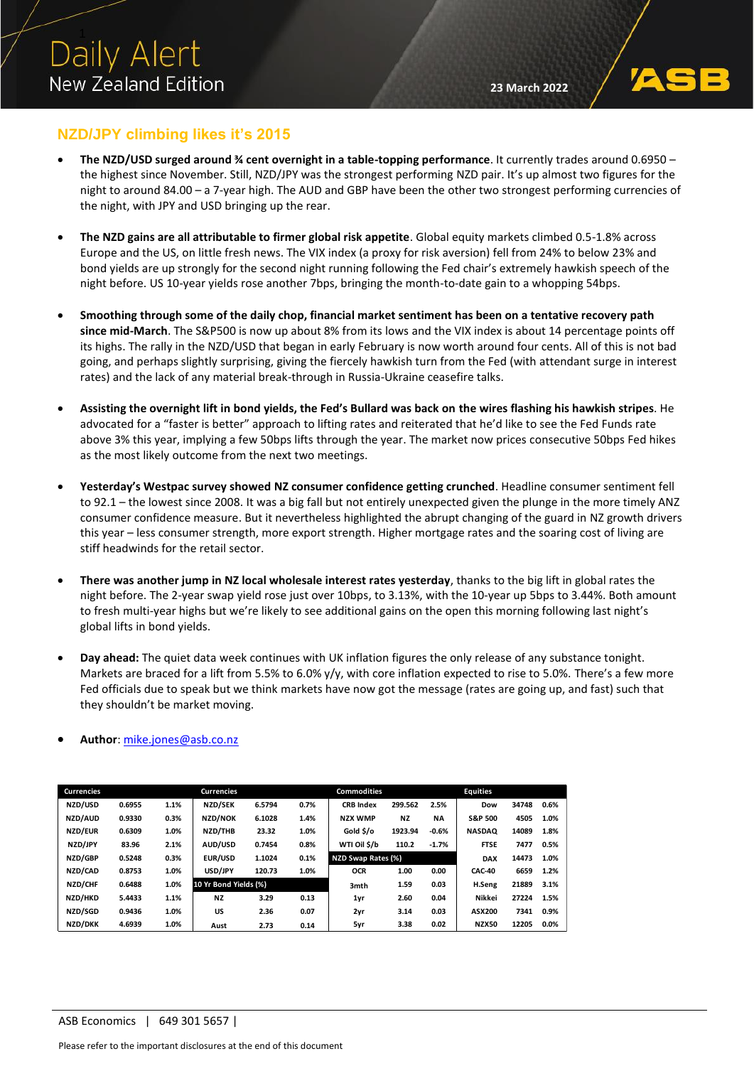

## **NZD/JPY climbing likes it's 2015**

- **The NZD/USD surged around ¾ cent overnight in a table-topping performance**. It currently trades around 0.6950 the highest since November. Still, NZD/JPY was the strongest performing NZD pair. It's up almost two figures for the night to around 84.00 – a 7-year high. The AUD and GBP have been the other two strongest performing currencies of the night, with JPY and USD bringing up the rear.
- **The NZD gains are all attributable to firmer global risk appetite**. Global equity markets climbed 0.5-1.8% across Europe and the US, on little fresh news. The VIX index (a proxy for risk aversion) fell from 24% to below 23% and bond yields are up strongly for the second night running following the Fed chair's extremely hawkish speech of the night before. US 10-year yields rose another 7bps, bringing the month-to-date gain to a whopping 54bps.
- **Smoothing through some of the daily chop, financial market sentiment has been on a tentative recovery path since mid-March**. The S&P500 is now up about 8% from its lows and the VIX index is about 14 percentage points off its highs. The rally in the NZD/USD that began in early February is now worth around four cents. All of this is not bad going, and perhaps slightly surprising, giving the fiercely hawkish turn from the Fed (with attendant surge in interest rates) and the lack of any material break-through in Russia-Ukraine ceasefire talks.
- **Assisting the overnight lift in bond yields, the Fed's Bullard was back on the wires flashing his hawkish stripes**. He advocated for a "faster is better" approach to lifting rates and reiterated that he'd like to see the Fed Funds rate above 3% this year, implying a few 50bps lifts through the year. The market now prices consecutive 50bps Fed hikes as the most likely outcome from the next two meetings.
- **Yesterday's Westpac survey showed NZ consumer confidence getting crunched**. Headline consumer sentiment fell to 92.1 – the lowest since 2008. It was a big fall but not entirely unexpected given the plunge in the more timely ANZ consumer confidence measure. But it nevertheless highlighted the abrupt changing of the guard in NZ growth drivers this year – less consumer strength, more export strength. Higher mortgage rates and the soaring cost of living are stiff headwinds for the retail sector.
- **There was another jump in NZ local wholesale interest rates yesterday**, thanks to the big lift in global rates the night before. The 2-year swap yield rose just over 10bps, to 3.13%, with the 10-year up 5bps to 3.44%. Both amount to fresh multi-year highs but we're likely to see additional gains on the open this morning following last night's global lifts in bond yields.
- **Day ahead:** The quiet data week continues with UK inflation figures the only release of any substance tonight. Markets are braced for a lift from 5.5% to 6.0% y/y, with core inflation expected to rise to 5.0%. There's a few more Fed officials due to speak but we think markets have now got the message (rates are going up, and fast) such that they shouldn't be market moving.

| <b>Currencies</b> |        |      | <b>Currencies</b>     |        |      | <b>Commodities</b> |           |           | <b>Equities</b>    |       |         |
|-------------------|--------|------|-----------------------|--------|------|--------------------|-----------|-----------|--------------------|-------|---------|
| NZD/USD           | 0.6955 | 1.1% | NZD/SEK               | 6.5794 | 0.7% | <b>CRB</b> Index   | 299.562   | 2.5%      | Dow                | 34748 | 0.6%    |
| NZD/AUD           | 0.9330 | 0.3% | NZD/NOK               | 6.1028 | 1.4% | <b>NZX WMP</b>     | <b>NZ</b> | <b>NA</b> | <b>S&amp;P 500</b> | 4505  | 1.0%    |
| NZD/EUR           | 0.6309 | 1.0% | NZD/THB               | 23.32  | 1.0% | Gold \$/o          | 1923.94   | $-0.6%$   | <b>NASDAQ</b>      | 14089 | 1.8%    |
| NZD/JPY           | 83.96  | 2.1% | AUD/USD               | 0.7454 | 0.8% | WTI Oil \$/b       | 110.2     | $-1.7%$   | <b>FTSE</b>        | 7477  | 0.5%    |
| NZD/GBP           | 0.5248 | 0.3% | EUR/USD               | 1.1024 | 0.1% | NZD Swap Rates (%) |           |           | <b>DAX</b>         | 14473 | 1.0%    |
|                   |        |      |                       |        |      |                    |           |           |                    |       |         |
| NZD/CAD           | 0.8753 | 1.0% | USD/JPY               | 120.73 | 1.0% | <b>OCR</b>         | 1.00      | 0.00      | <b>CAC-40</b>      | 6659  | 1.2%    |
| NZD/CHF           | 0.6488 | 1.0% | 10 Yr Bond Yields (%) |        |      | 3mth               | 1.59      | 0.03      | H.Seng             | 21889 | 3.1%    |
| NZD/HKD           | 5.4433 | 1.1% | <b>NZ</b>             | 3.29   | 0.13 | 1yr                | 2.60      | 0.04      | Nikkei             | 27224 | 1.5%    |
| NZD/SGD           | 0.9436 | 1.0% | US                    | 2.36   | 0.07 | 2yr                | 3.14      | 0.03      | ASX200             | 7341  | 0.9%    |
| NZD/DKK           | 4.6939 | 1.0% | Aust                  | 2.73   | 0.14 | 5yr                | 3.38      | 0.02      | <b>NZX50</b>       | 12205 | $0.0\%$ |

### • **Author**[: mike.jones@asb.co.nz](mailto:mike.jones@asb.co.nz)